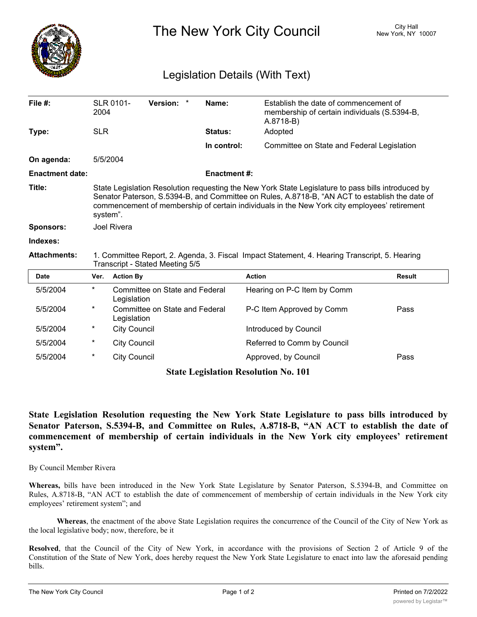

The New York City Council New York, NY 10007

## Legislation Details (With Text)

| File #:                | <b>SLR 0101-</b><br>2004                                                                                                                                                                                                                                                                                         |                                               | Version: * |  | Name:          | Establish the date of commencement of<br>membership of certain individuals (S.5394-B,<br>A.8718-B) |               |
|------------------------|------------------------------------------------------------------------------------------------------------------------------------------------------------------------------------------------------------------------------------------------------------------------------------------------------------------|-----------------------------------------------|------------|--|----------------|----------------------------------------------------------------------------------------------------|---------------|
| Type:                  | <b>SLR</b>                                                                                                                                                                                                                                                                                                       |                                               |            |  | <b>Status:</b> | Adopted                                                                                            |               |
|                        |                                                                                                                                                                                                                                                                                                                  |                                               |            |  | In control:    | Committee on State and Federal Legislation                                                         |               |
| On agenda:             | 5/5/2004                                                                                                                                                                                                                                                                                                         |                                               |            |  |                |                                                                                                    |               |
| <b>Enactment date:</b> | <b>Enactment #:</b>                                                                                                                                                                                                                                                                                              |                                               |            |  |                |                                                                                                    |               |
| Title:                 | State Legislation Resolution requesting the New York State Legislature to pass bills introduced by<br>Senator Paterson, S.5394-B, and Committee on Rules, A.8718-B, "AN ACT to establish the date of<br>commencement of membership of certain individuals in the New York city employees' retirement<br>system". |                                               |            |  |                |                                                                                                    |               |
| <b>Sponsors:</b>       | <b>Joel Rivera</b>                                                                                                                                                                                                                                                                                               |                                               |            |  |                |                                                                                                    |               |
| Indexes:               |                                                                                                                                                                                                                                                                                                                  |                                               |            |  |                |                                                                                                    |               |
| <b>Attachments:</b>    | 1. Committee Report, 2. Agenda, 3. Fiscal Impact Statement, 4. Hearing Transcript, 5. Hearing<br>Transcript - Stated Meeting 5/5                                                                                                                                                                                 |                                               |            |  |                |                                                                                                    |               |
| <b>Date</b>            | Ver.                                                                                                                                                                                                                                                                                                             | <b>Action By</b>                              |            |  |                | <b>Action</b>                                                                                      | <b>Result</b> |
| 5/5/2004               | $\star$                                                                                                                                                                                                                                                                                                          | Committee on State and Federal<br>Legislation |            |  |                | Hearing on P-C Item by Comm                                                                        |               |
| 5/5/2004               | *                                                                                                                                                                                                                                                                                                                | Committee on State and Federal<br>Legislation |            |  |                | P-C Item Approved by Comm                                                                          | Pass          |
| 5/5/2004               | $\ast$                                                                                                                                                                                                                                                                                                           | <b>City Council</b>                           |            |  |                | Introduced by Council                                                                              |               |
| 5/5/2004               | $\ast$                                                                                                                                                                                                                                                                                                           | <b>City Council</b>                           |            |  |                |                                                                                                    |               |
| 5/5/2004               |                                                                                                                                                                                                                                                                                                                  |                                               |            |  |                | Referred to Comm by Council                                                                        |               |

## **State Legislation Resolution No. 101**

**State Legislation Resolution requesting the New York State Legislature to pass bills introduced by Senator Paterson, S.5394-B, and Committee on Rules, A.8718-B, "AN ACT to establish the date of commencement of membership of certain individuals in the New York city employees' retirement system".**

By Council Member Rivera

**Whereas,** bills have been introduced in the New York State Legislature by Senator Paterson, S.5394-B, and Committee on Rules, A.8718-B, "AN ACT to establish the date of commencement of membership of certain individuals in the New York city employees' retirement system"; and

**Whereas**, the enactment of the above State Legislation requires the concurrence of the Council of the City of New York as the local legislative body; now, therefore, be it

**Resolved**, that the Council of the City of New York, in accordance with the provisions of Section 2 of Article 9 of the Constitution of the State of New York, does hereby request the New York State Legislature to enact into law the aforesaid pending bills.